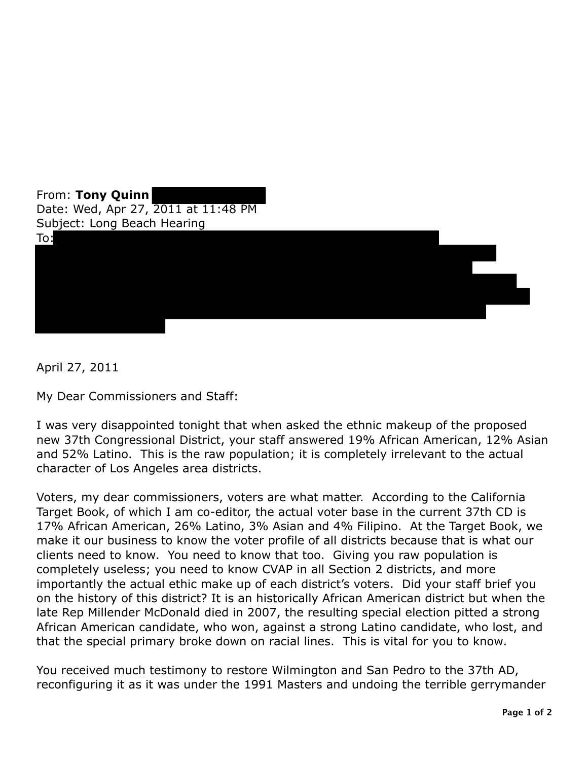

April 27, 2011

My Dear Commissioners and Staff:

I was very disappointed tonight that when asked the ethnic makeup of the proposed new 37th Congressional District, your staff answered 19% African American, 12% Asian and 52% Latino. This is the raw population; it is completely irrelevant to the actual character of Los Angeles area districts.

Voters, my dear commissioners, voters are what matter. According to the California Target Book, of which I am co-editor, the actual voter base in the current 37th CD is 17% African American, 26% Latino, 3% Asian and 4% Filipino. At the Target Book, we make it our business to know the voter profile of all districts because that is what our clients need to know. You need to know that too. Giving you raw population is completely useless; you need to know CVAP in all Section 2 districts, and more importantly the actual ethic make up of each district's voters. Did your staff brief you on the history of this district? It is an historically African American district but when the late Rep Millender McDonald died in 2007, the resulting special election pitted a strong African American candidate, who won, against a strong Latino candidate, who lost, and that the special primary broke down on racial lines. This is vital for you to know.

You received much testimony to restore Wilmington and San Pedro to the 37th AD, reconfiguring it as it was under the 1991 Masters and undoing the terrible gerrymander